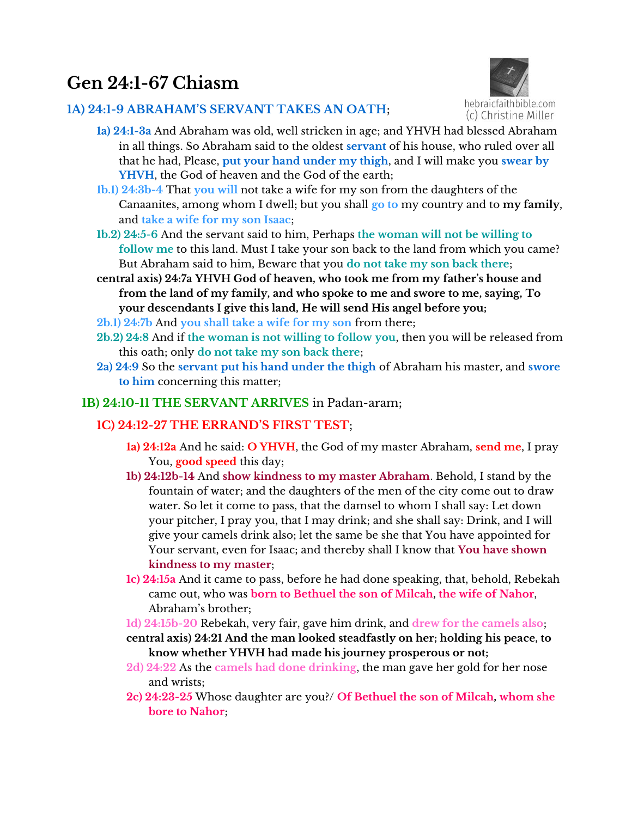# **Gen 24:1-67 Chiasm**

## **1A) 24:1-9 ABRAHAM'S SERVANT TAKES AN OATH**;



- **1a) 24:1-3a** And Abraham was old, well stricken in age; and YHVH had blessed Abraham in all things. So Abraham said to the oldest **servant** of his house, who ruled over all that he had, Please, **put your hand under my thigh**, and I will make you **swear by YHVH**, the God of heaven and the God of the earth;
- **1b.1) 24:3b-4** That **you will** not take a wife for my son from the daughters of the Canaanites, among whom I dwell; but you shall **go to** my country and to **my family**, and **take a wife for my son Isaac**;
- **1b.2) 24:5-6** And the servant said to him, Perhaps **the woman will not be willing to follow me** to this land. Must I take your son back to the land from which you came? But Abraham said to him, Beware that you **do not take my son back there**;
- **central axis) 24:7a YHVH God of heaven, who took me from my father's house and from the land of my family, and who spoke to me and swore to me, saying, To your descendants I give this land, He will send His angel before you;**
- **2b.1) 24:7b** And **you shall take a wife for my son** from there;
- **2b.2) 24:8** And if **the woman is not willing to follow you**, then you will be released from this oath; only **do not take my son back there**;
- **2a) 24:9** So the **servant put his hand under the thigh** of Abraham his master, and **swore to him** concerning this matter;
- **1B) 24:10-11 THE SERVANT ARRIVES** in Padan-aram;

## **1C) 24:12-27 THE ERRAND'S FIRST TEST**;

- **1a) 24:12a** And he said: **O YHVH**, the God of my master Abraham, **send me**, I pray You, **good speed** this day;
- **1b) 24:12b-14** And **show kindness to my master Abraham**. Behold, I stand by the fountain of water; and the daughters of the men of the city come out to draw water. So let it come to pass, that the damsel to whom I shall say: Let down your pitcher, I pray you, that I may drink; and she shall say: Drink, and I will give your camels drink also; let the same be she that You have appointed for Your servant, even for Isaac; and thereby shall I know that **You have shown kindness to my master**;
- **1c) 24:15a** And it came to pass, before he had done speaking, that, behold, Rebekah came out, who was **born to Bethuel the son of Milcah, the wife of Nahor**, Abraham's brother;
- **1d) 24:15b-20** Rebekah, very fair, gave him drink, and **drew for the camels also**;
- **central axis) 24:21 And the man looked steadfastly on her; holding his peace, to know whether YHVH had made his journey prosperous or not;**
- **2d) 24:22** As the **camels had done drinking**, the man gave her gold for her nose and wrists;
- **2c) 24:23-25** Whose daughter are you?/ **Of Bethuel the son of Milcah, whom she bore to Nahor**;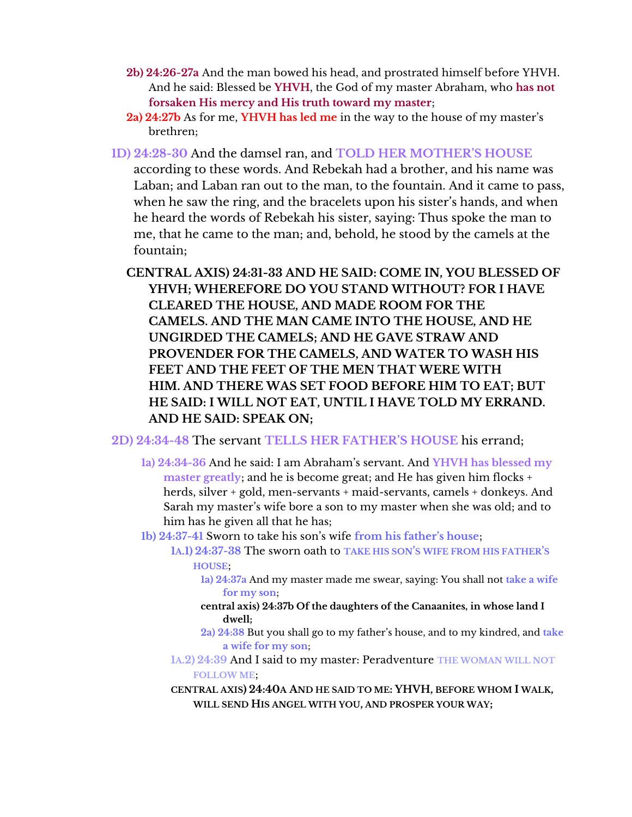- **2b) 24:26-27a** And the man bowed his head, and prostrated himself before YHVH. And he said: Blessed be **YHVH**, the God of my master Abraham, who **has not forsaken His mercy and His truth toward my master**;
- **2a) 24:27b** As for me, **YHVH has led me** in the way to the house of my master's brethren;
- **1D) 24:28-30** And the damsel ran, and **TOLD HER MOTHER'S HOUSE** according to these words. And Rebekah had a brother, and his name was Laban; and Laban ran out to the man, to the fountain. And it came to pass, when he saw the ring, and the bracelets upon his sister's hands, and when he heard the words of Rebekah his sister, saying: Thus spoke the man to me, that he came to the man; and, behold, he stood by the camels at the fountain;
	- **CENTRAL AXIS) 24:31-33 AND HE SAID: COME IN, YOU BLESSED OF YHVH; WHEREFORE DO YOU STAND WITHOUT? FOR I HAVE CLEARED THE HOUSE, AND MADE ROOM FOR THE CAMELS. AND THE MAN CAME INTO THE HOUSE, AND HE UNGIRDED THE CAMELS; AND HE GAVE STRAW AND PROVENDER FOR THE CAMELS, AND WATER TO WASH HIS FEET AND THE FEET OF THE MEN THAT WERE WITH HIM. AND THERE WAS SET FOOD BEFORE HIM TO EAT; BUT HE SAID: I WILL NOT EAT, UNTIL I HAVE TOLD MY ERRAND. AND HE SAID: SPEAK ON;**
- **2D) 24:34-48** The servant **TELLS HER FATHER'S HOUSE** his errand;
	- 1a) 24:34-36 And he said: I am Abraham's servant. And **Y**HVH has blessed my **master greatly**; and he is become great; and He has given him flocks + herds, silver + gold, men-servants + maid-servants, camels + donkeys. And Sarah my master's wife bore a son to my master when she was old; and to him has he given all that he has;
	- **1b) 24:37-41 Sworn to take his son's wife from his father's house:** 
		- **1A.1) 24:37-38** The sworn oath to **TAKE HIS SON'S WIFE FROM HIS FATHER'S HOUSE**;
			- **1a) 24:37a** And my master made me swear, saying: You shall not **take a wife for my son**;
			- **central axis) 24:37b Of the daughters of the Canaanites, in whose land I dwell;**
			- 2a) 24:38 But you shall go to my father's house, and to my kindred, and take **a wife for my son**;
		- **1A.2) 24:39** And I said to my master: Peradventure **THE WOMAN WILL NOT FOLLOW ME**;
		- **CENTRAL AXIS) 24:40A AND HE SAID TO ME: YHVH, BEFORE WHOM I WALK, WILL SEND HIS ANGEL WITH YOU, AND PROSPER YOUR WAY;**